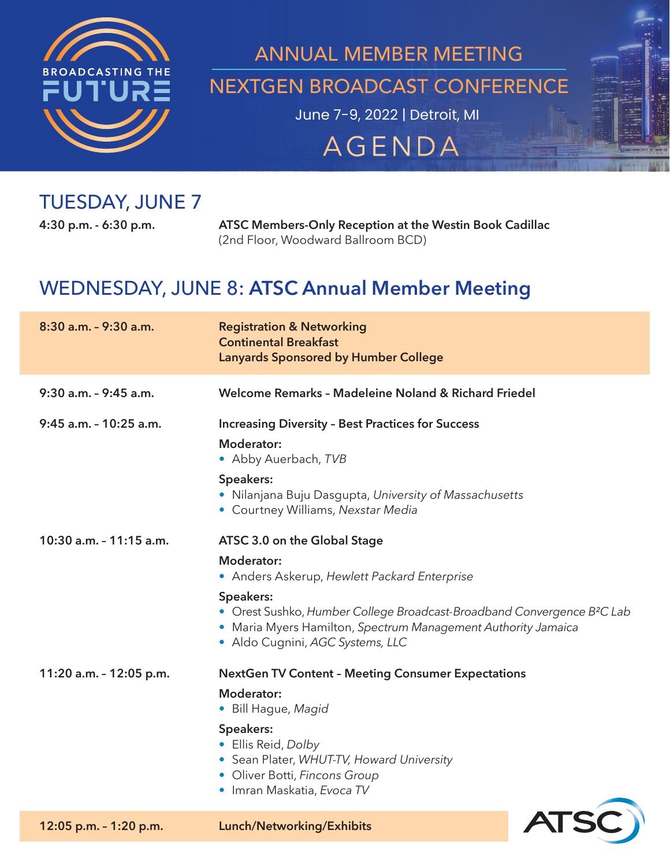

## June 7-9, 2022 | Detroit, MI ANNUAL MEMBER MEETING NEXTGEN BROADCAST CONFERENCE

# **AGENDA**

### TUESDAY, JUNE 7

**4:30 p.m. - 6:30 p.m. ATSC Members-Only Reception at the Westin Book Cadillac**  (2nd Floor, Woodward Ballroom BCD)

### WEDNESDAY, JUNE 8: **ATSC Annual Member Meeting**

| 8:30 a.m. - 9:30 a.m.   | <b>Registration &amp; Networking</b><br><b>Continental Breakfast</b><br><b>Lanyards Sponsored by Humber College</b>                                                                                   |  |
|-------------------------|-------------------------------------------------------------------------------------------------------------------------------------------------------------------------------------------------------|--|
| 9:30 a.m. - 9:45 a.m.   | Welcome Remarks - Madeleine Noland & Richard Friedel                                                                                                                                                  |  |
| 9:45 a.m. - 10:25 a.m.  | <b>Increasing Diversity - Best Practices for Success</b>                                                                                                                                              |  |
|                         | Moderator:<br>• Abby Auerbach, TVB                                                                                                                                                                    |  |
|                         | Speakers:<br>• Nilanjana Buju Dasgupta, University of Massachusetts<br>• Courtney Williams, Nexstar Media                                                                                             |  |
| 10:30 a.m. - 11:15 a.m. | ATSC 3.0 on the Global Stage                                                                                                                                                                          |  |
|                         | Moderator:<br>• Anders Askerup, Hewlett Packard Enterprise                                                                                                                                            |  |
|                         | Speakers:<br>• Orest Sushko, Humber College Broadcast-Broadband Convergence B <sup>2</sup> C Lab<br>• Maria Myers Hamilton, Spectrum Management Authority Jamaica<br>· Aldo Cugnini, AGC Systems, LLC |  |
| 11:20 a.m. - 12:05 p.m. | <b>NextGen TV Content - Meeting Consumer Expectations</b>                                                                                                                                             |  |
|                         | Moderator:<br>• Bill Hague, Magid                                                                                                                                                                     |  |
|                         | Speakers:<br>• Ellis Reid, Dolby<br>• Sean Plater, WHUT-TV, Howard University<br>• Oliver Botti, Fincons Group<br>• Imran Maskatia, Evoca TV                                                          |  |
| 12:05 p.m. - 1:20 p.m.  | Lunch/Networking/Exhibits                                                                                                                                                                             |  |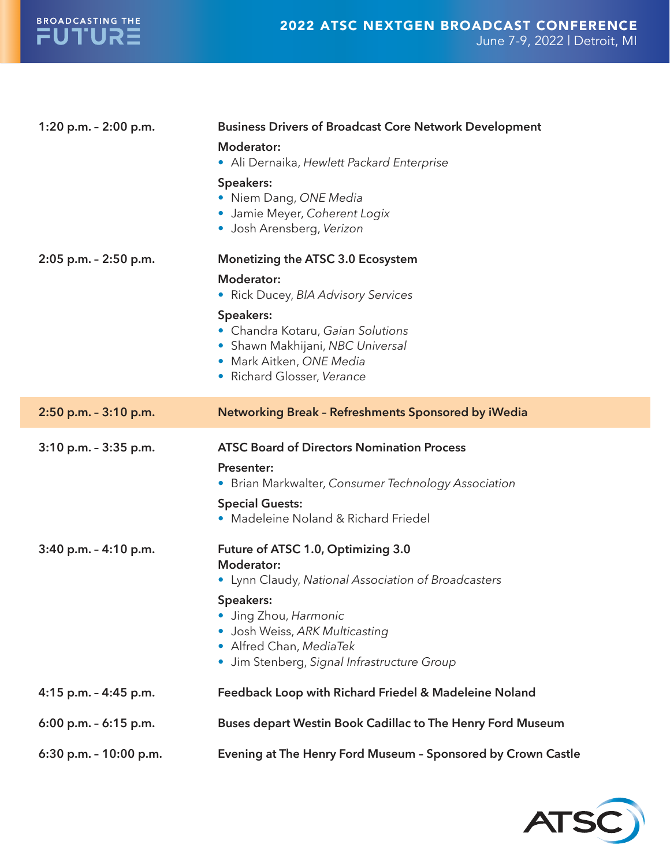

| 1:20 p.m. - 2:00 p.m.     | <b>Business Drivers of Broadcast Core Network Development</b>                                                                                  |  |
|---------------------------|------------------------------------------------------------------------------------------------------------------------------------------------|--|
|                           | <b>Moderator:</b><br>· Ali Dernaika, Hewlett Packard Enterprise                                                                                |  |
|                           | Speakers:<br>• Niem Dang, ONE Media<br>· Jamie Meyer, Coherent Logix<br>· Josh Arensberg, Verizon                                              |  |
| 2:05 p.m. - 2:50 p.m.     | Monetizing the ATSC 3.0 Ecosystem                                                                                                              |  |
|                           | <b>Moderator:</b><br>• Rick Ducey, BIA Advisory Services                                                                                       |  |
|                           | Speakers:<br>• Chandra Kotaru, Gaian Solutions<br>• Shawn Makhijani, NBC Universal<br>· Mark Aitken, ONE Media<br>• Richard Glosser, Verance   |  |
| 2:50 p.m. - 3:10 p.m.     | Networking Break - Refreshments Sponsored by iWedia                                                                                            |  |
| 3:10 p.m. - 3:35 p.m.     | <b>ATSC Board of Directors Nomination Process</b><br><b>Presenter:</b><br>• Brian Markwalter, Consumer Technology Association                  |  |
|                           | <b>Special Guests:</b><br>• Madeleine Noland & Richard Friedel                                                                                 |  |
| $3:40$ p.m. $- 4:10$ p.m. | Future of ATSC 1.0, Optimizing 3.0<br><b>Moderator:</b><br>• Lynn Claudy, National Association of Broadcasters                                 |  |
|                           | Speakers:<br>· Jing Zhou, Harmonic<br>· Josh Weiss, ARK Multicasting<br>• Alfred Chan, MediaTek<br>· Jim Stenberg, Signal Infrastructure Group |  |
| 4:15 p.m. - 4:45 p.m.     | Feedback Loop with Richard Friedel & Madeleine Noland                                                                                          |  |
| 6:00 p.m. $-$ 6:15 p.m.   | Buses depart Westin Book Cadillac to The Henry Ford Museum                                                                                     |  |
| 6:30 p.m. - 10:00 p.m.    | Evening at The Henry Ford Museum - Sponsored by Crown Castle                                                                                   |  |

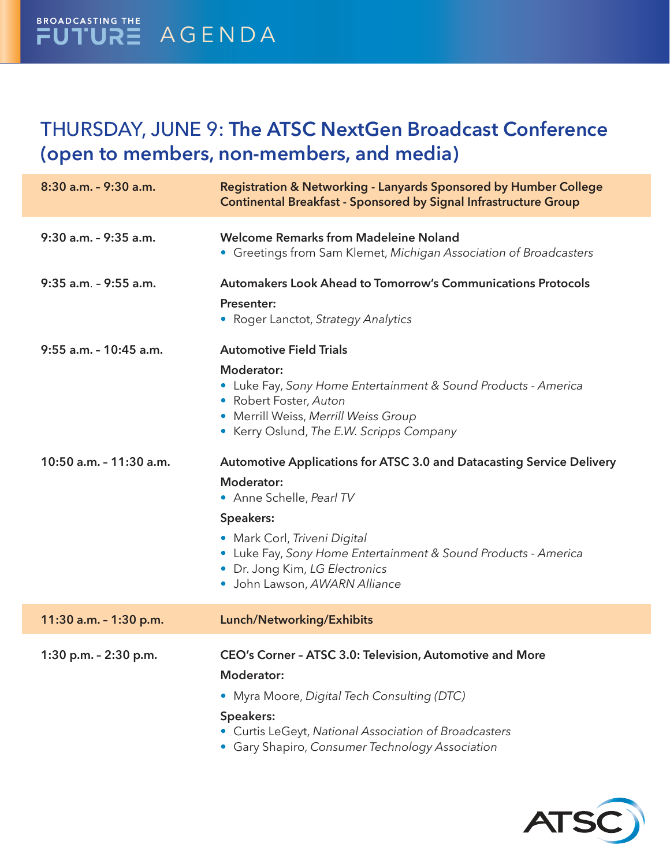#### BROADCASTING THE FUTURE AGENDA

### THURSDAY, JUNE 9: **The ATSC NextGen Broadcast Conference (open to members, non-members, and media)**

| 8:30 a.m. - 9:30 a.m.   | Registration & Networking - Lanyards Sponsored by Humber College<br><b>Continental Breakfast - Sponsored by Signal Infrastructure Group</b>                                                       |
|-------------------------|---------------------------------------------------------------------------------------------------------------------------------------------------------------------------------------------------|
| 9:30 a.m. - 9:35 a.m.   | <b>Welcome Remarks from Madeleine Noland</b><br>• Greetings from Sam Klemet, Michigan Association of Broadcasters                                                                                 |
| 9:35 a.m. - 9:55 a.m.   | <b>Automakers Look Ahead to Tomorrow's Communications Protocols</b>                                                                                                                               |
|                         | <b>Presenter:</b><br>• Roger Lanctot, Strategy Analytics                                                                                                                                          |
| 9:55 a.m. - 10:45 a.m.  | <b>Automotive Field Trials</b>                                                                                                                                                                    |
|                         | <b>Moderator:</b><br>• Luke Fay, Sony Home Entertainment & Sound Products - America<br>• Robert Foster, Auton<br>• Merrill Weiss, Merrill Weiss Group<br>• Kerry Oslund, The E.W. Scripps Company |
| 10:50 a.m. - 11:30 a.m. | Automotive Applications for ATSC 3.0 and Datacasting Service Delivery                                                                                                                             |
|                         | <b>Moderator:</b><br>• Anne Schelle, Pearl TV                                                                                                                                                     |
|                         | Speakers:                                                                                                                                                                                         |
|                         | • Mark Corl, Triveni Digital<br>• Luke Fay, Sony Home Entertainment & Sound Products - America<br>• Dr. Jong Kim, LG Electronics<br>· John Lawson, AWARN Alliance                                 |
| 11:30 a.m. - 1:30 p.m.  | Lunch/Networking/Exhibits                                                                                                                                                                         |
| 1:30 p.m. - 2:30 p.m.   | CEO's Corner - ATSC 3.0: Television, Automotive and More<br><b>Moderator:</b>                                                                                                                     |
|                         | • Myra Moore, Digital Tech Consulting (DTC)                                                                                                                                                       |
|                         | Speakers:<br>• Curtis LeGeyt, National Association of Broadcasters<br>• Gary Shapiro, Consumer Technology Association                                                                             |